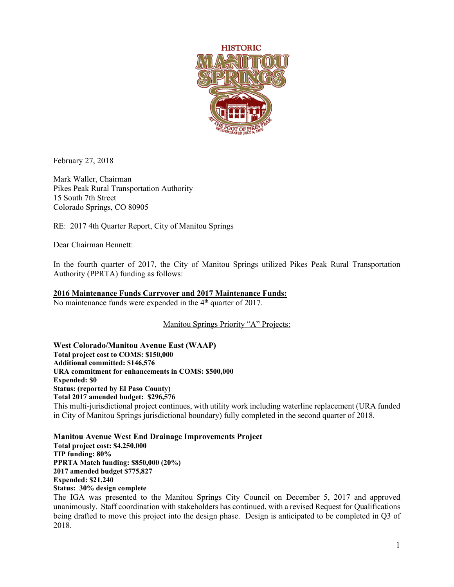

February 27, 2018

Mark Waller, Chairman Pikes Peak Rural Transportation Authority 15 South 7th Street Colorado Springs, CO 80905

RE: 2017 4th Quarter Report, City of Manitou Springs

Dear Chairman Bennett:

In the fourth quarter of 2017, the City of Manitou Springs utilized Pikes Peak Rural Transportation Authority (PPRTA) funding as follows:

## **2016 Maintenance Funds Carryover and 2017 Maintenance Funds:**

No maintenance funds were expended in the 4<sup>th</sup> quarter of 2017.

Manitou Springs Priority "A" Projects:

**West Colorado/Manitou Avenue East (WAAP) Total project cost to COMS: \$150,000 Additional committed: \$146,576 URA commitment for enhancements in COMS: \$500,000 Expended: \$0 Status: (reported by El Paso County) Total 2017 amended budget: \$296,576** This multi-jurisdictional project continues, with utility work including waterline replacement (URA funded in City of Manitou Springs jurisdictional boundary) fully completed in the second quarter of 2018.

**Manitou Avenue West End Drainage Improvements Project Total project cost: \$4,250,000 TIP funding: 80% PPRTA Match funding: \$850,000 (20%) 2017 amended budget \$775,827 Expended: \$21,240 Status: 30% design complete**

The IGA was presented to the Manitou Springs City Council on December 5, 2017 and approved unanimously. Staff coordination with stakeholders has continued, with a revised Request for Qualifications being drafted to move this project into the design phase. Design is anticipated to be completed in Q3 of 2018.